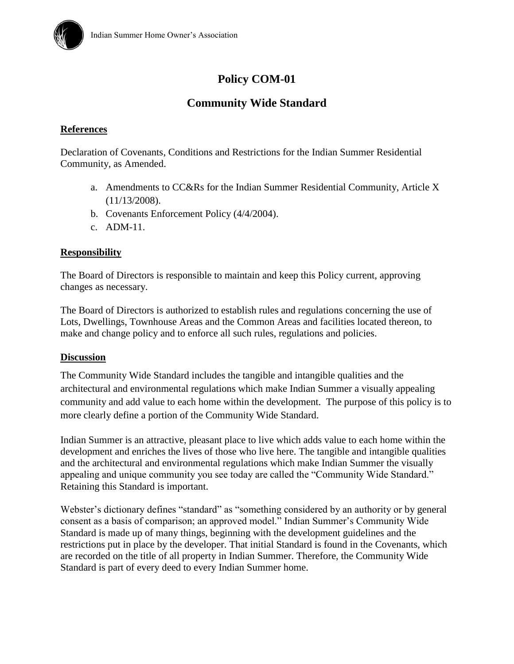

# **Policy COM-01**

# **Community Wide Standard**

# **References**

Declaration of Covenants, Conditions and Restrictions for the Indian Summer Residential Community, as Amended.

- a. Amendments to CC&Rs for the Indian Summer Residential Community, Article X (11/13/2008).
- b. Covenants Enforcement Policy (4/4/2004).
- c. ADM-11.

# **Responsibility**

The Board of Directors is responsible to maintain and keep this Policy current, approving changes as necessary.

The Board of Directors is authorized to establish rules and regulations concerning the use of Lots, Dwellings, Townhouse Areas and the Common Areas and facilities located thereon, to make and change policy and to enforce all such rules, regulations and policies.

#### **Discussion**

The Community Wide Standard includes the tangible and intangible qualities and the architectural and environmental regulations which make Indian Summer a visually appealing community and add value to each home within the development. The purpose of this policy is to more clearly define a portion of the Community Wide Standard.

Indian Summer is an attractive, pleasant place to live which adds value to each home within the development and enriches the lives of those who live here. The tangible and intangible qualities and the architectural and environmental regulations which make Indian Summer the visually appealing and unique community you see today are called the "Community Wide Standard." Retaining this Standard is important.

Webster's dictionary defines "standard" as "something considered by an authority or by general consent as a basis of comparison; an approved model." Indian Summer's Community Wide Standard is made up of many things, beginning with the development guidelines and the restrictions put in place by the developer. That initial Standard is found in the Covenants, which are recorded on the title of all property in Indian Summer. Therefore, the Community Wide Standard is part of every deed to every Indian Summer home.